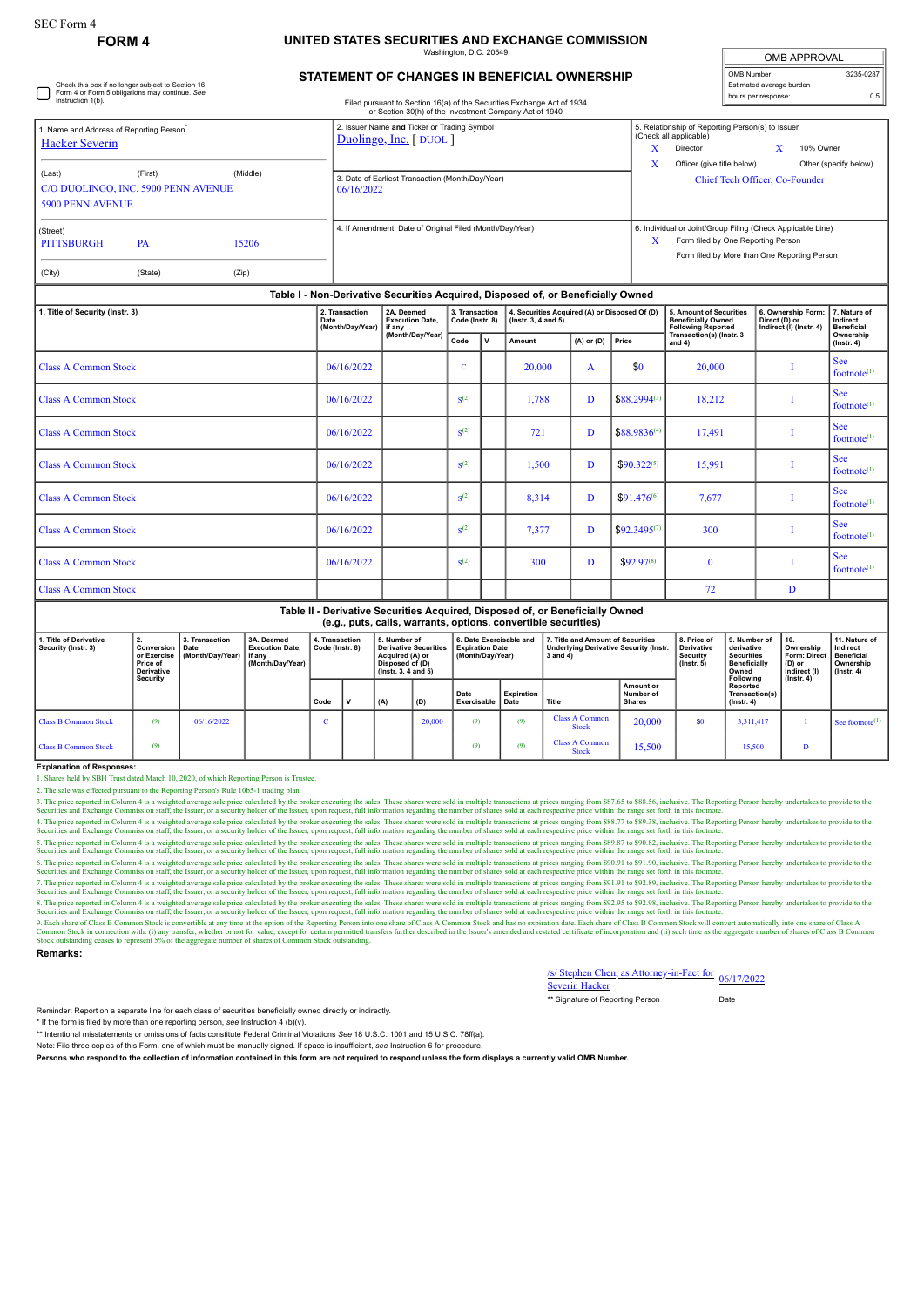Check this box if no longer subject to Section 16. Form 4 or Form 5 obligations may continue. *See* Instruction 1(b).

### **FORM 4 UNITED STATES SECURITIES AND EXCHANGE COMMISSION** Washington, D.C. 20549

| <b>OMB APPROVAL</b>      |           |  |  |  |  |  |
|--------------------------|-----------|--|--|--|--|--|
| OMB Number:              | 3235-0287 |  |  |  |  |  |
| Estimated average burden |           |  |  |  |  |  |
| hours per response:      | 0.5       |  |  |  |  |  |

# **STATEMENT OF CHANGES IN BENEFICIAL OWNERSHIP**

Filed pursuant to Section 16(a) of the Securities Exchange Act of 1934

|                                                                              |                                                                                  |                | or Section 30(h) of the Investment Company Act of 1940                     |                                                                                                                                                        |  |  |  |  |
|------------------------------------------------------------------------------|----------------------------------------------------------------------------------|----------------|----------------------------------------------------------------------------|--------------------------------------------------------------------------------------------------------------------------------------------------------|--|--|--|--|
| . Name and Address of Reporting Person <sup>*</sup><br><b>Hacker Severin</b> |                                                                                  |                | 2. Issuer Name and Ticker or Trading Symbol<br>$Duolingo, Inc.$ [ $DUOL$ ] | 5. Relationship of Reporting Person(s) to Issuer<br>(Check all applicable)<br>X<br>10% Owner<br>Director                                               |  |  |  |  |
| (Last)<br>C/O DUOLINGO, INC. 5900 PENN AVENUE<br><b>5900 PENN AVENUE</b>     | (First)                                                                          | (Middle)       | 3. Date of Earliest Transaction (Month/Day/Year)<br>06/16/2022             | X<br>Officer (give title below)<br>Other (specify below)<br>Chief Tech Officer, Co-Founder                                                             |  |  |  |  |
| (Street)<br><b>PITTSBURGH</b><br>(City)                                      | <b>PA</b><br>(State)                                                             | 15206<br>(Zip) | 4. If Amendment, Date of Original Filed (Month/Day/Year)                   | 6. Individual or Joint/Group Filing (Check Applicable Line)<br>X<br>Form filed by One Reporting Person<br>Form filed by More than One Reporting Person |  |  |  |  |
|                                                                              | Table I - Non-Derivative Securities Acquired, Disposed of, or Beneficially Owned |                |                                                                            |                                                                                                                                                        |  |  |  |  |

| 1. Title of Security (Instr. 3) | 2. Transaction<br>Date<br>(Month/Day/Year) | 2A. Deemed<br><b>Execution Date,</b><br>if any | 3. Transaction<br>Code (Instr. 8) |             | 4. Securities Acquired (A) or Disposed Of (D)<br>$($ lnstr. 3, 4 and 5 $)$ |   |                  | 5. Amount of Securities<br><b>Beneficially Owned</b><br><b>Following Reported</b> | 6. Ownership Form:<br>Direct (D) or<br>Indirect (I) (Instr. 4) | 7. Nature of<br>Indirect<br><b>Beneficial</b> |
|---------------------------------|--------------------------------------------|------------------------------------------------|-----------------------------------|-------------|----------------------------------------------------------------------------|---|------------------|-----------------------------------------------------------------------------------|----------------------------------------------------------------|-----------------------------------------------|
|                                 |                                            | (Month/Day/Year)                               | Code                              | $\mathbf v$ | $(A)$ or $(D)$<br>Amount                                                   |   | Price            | Transaction(s) (Instr. 3<br>and $4)$                                              |                                                                | Ownership<br>$($ lnstr. 4 $)$                 |
| <b>Class A Common Stock</b>     | 06/16/2022                                 |                                                | C                                 |             | 20,000                                                                     | A | \$0              | 20,000                                                                            |                                                                | <b>See</b><br>footnote $(1)$                  |
| <b>Class A Common Stock</b>     | 06/16/2022                                 |                                                | S <sup>(2)</sup>                  |             | 1,788                                                                      | D | $$88.2994^{(3)}$ | 18,212                                                                            |                                                                | <b>See</b><br>footnote $(1)$                  |
| <b>Class A Common Stock</b>     | 06/16/2022                                 |                                                | S <sup>(2)</sup>                  |             | 721                                                                        | D | $$88.9836^{(4)}$ | 17,491                                                                            |                                                                | <b>See</b><br>footnote $(1)$                  |
| <b>Class A Common Stock</b>     | 06/16/2022                                 |                                                | S <sup>(2)</sup>                  |             | 1,500                                                                      | D | $$90.322^{(5)}$  | 15,991                                                                            |                                                                | <b>See</b><br>footnote $(1)$                  |
| <b>Class A Common Stock</b>     | 06/16/2022                                 |                                                | S <sup>(2)</sup>                  |             | 8,314                                                                      | D | $$91.476^{(6)}$  | 7,677                                                                             |                                                                | <b>See</b><br>footnote $(1)$                  |
| <b>Class A Common Stock</b>     | 06/16/2022                                 |                                                | S <sup>(2)</sup>                  |             | 7,377                                                                      | D | $$92.3495^{(7)}$ | 300                                                                               |                                                                | <b>See</b><br>footnote $(1)$                  |
| <b>Class A Common Stock</b>     | 06/16/2022                                 |                                                | S <sup>(2)</sup>                  |             | 300                                                                        | D | $$92.97^{(8)}$   | $\mathbf{0}$                                                                      |                                                                | <b>See</b><br>footnote $(1)$                  |
| <b>Class A Common Stock</b>     |                                            |                                                |                                   |             |                                                                            |   |                  | 72                                                                                | D                                                              |                                               |

#### **Table II - Derivative Securities Acquired, Disposed of, or Beneficially Owned (e.g., puts, calls, warrants, options, convertible securities)**

| 1. Title of Derivative<br>Security (Instr. 3) | Conversion   Date<br>or Exercise<br>Price of<br>Derivative<br>Security | 3. Transaction<br>(Month/Dav/Year) | 3A. Deemed<br><b>Execution Date.</b><br>if any<br>(Month/Dav/Year) | 4. Transaction<br>Code (Instr. 8) |             | 5. Number of<br><b>Derivative Securities</b><br>Acquired (A) or<br>Disposed of (D)<br>$($ lnstr. 3. 4 and 5 $)$ |        | 6. Date Exercisable and<br><b>Expiration Date</b><br>(Month/Day/Year) |                    | 7. Title and Amount of Securities<br><b>Underlying Derivative Security (Instr.</b><br>3 and 4) |                                                | 8. Price of<br><b>Derivative</b><br><b>Security</b><br>$($ lnstr $, 5)$ | 9. Number of<br>derivative<br><b>Securities</b><br><b>Beneficially</b><br>Owned<br>Following | 10.<br>Ownership<br><b>Form: Direct</b><br>(D) or<br>Indirect (I) | 11. Nature of<br>Indirect<br>Beneficial<br>Ownership<br>$($ lnstr. 4 $)$ |
|-----------------------------------------------|------------------------------------------------------------------------|------------------------------------|--------------------------------------------------------------------|-----------------------------------|-------------|-----------------------------------------------------------------------------------------------------------------|--------|-----------------------------------------------------------------------|--------------------|------------------------------------------------------------------------------------------------|------------------------------------------------|-------------------------------------------------------------------------|----------------------------------------------------------------------------------------------|-------------------------------------------------------------------|--------------------------------------------------------------------------|
|                                               |                                                                        |                                    |                                                                    | Code                              | $\mathbf v$ | (A)                                                                                                             | (D)    | Date<br>Exercisable                                                   | Expiration<br>Date | Title                                                                                          | <b>Amount or</b><br>Number of<br><b>Shares</b> |                                                                         | Reported<br>Transaction(s)<br>$($ lnstr. 4 $)$                                               | $($ lnstr. 4 $)$                                                  |                                                                          |
| <b>Class B Common Stock</b>                   | (9)                                                                    | 06/16/2022                         |                                                                    |                                   |             |                                                                                                                 | 20,000 | (9)                                                                   | (9)                | <b>Class A Common</b><br><b>Stock</b>                                                          | 20,000                                         | \$0                                                                     | 3.311.417                                                                                    |                                                                   | See footnote <sup>(1)</sup>                                              |
| Class B Common Stock                          | (9)                                                                    |                                    |                                                                    |                                   |             |                                                                                                                 |        | (9)                                                                   | (9)                | <b>Class A Common</b><br><b>Stock</b>                                                          | 15,500                                         |                                                                         | 15.500                                                                                       |                                                                   |                                                                          |

## **Explanation of Responses:**

1. Shares held by SBH Trust dated March 10, 2020, of which Reporting Person is Trustee.

2. The sale was effected pursuant to the Reporting Person's Rule 10b5-1 trading plan.

3. The price reported in Column 4 is a weighted average sale price calculated by the broker exceuting the sales. These shares were sold in multiple transactions at prices ranging from \$87.65 to \$88.56, inclusters, to he fe

4. The price reported in Column 4 is a weighted average sale price calculated by the broker executing the sales. These shares were sold in multiple transactions at prices ranging from \$88.77 to \$89.38, inclusive. The Repor

es and Exchange Commission staff, the Issuer, or a security holder of the Issuer, upon request, full information regarding the number of shares sold at each respective price within the range set forth in this foot

6. The price reported in Column 4 is a weighted average sale price calculated by the broker exceuting the sales. These shares were sold in multiple transactions at prices ranging from \$90,91 to \$91.90, inclusive, The This

7. The price reported in Column 4 is a weighted average sale price calculated by the broker executing the sales. These shares were sold in multiple transactions at prices ranging from \$91.91 to \$92.89, inclusters, to he fo

8. The price reported in Column 4 is a weighted average sale price calculated by the broker executing the sales. These shares were sold in multiple transactions at prices ranging from \$92.95 to \$92.98, inclusive. The Repor

9. Each share of Class B Common Stock is convertible at any time at the option of the Reporting Person into one share of Class A Common Stock and has no expiration date. Each share of Class B Common Stock will convert auto

## **Remarks:**

/s/ Stephen Chen, as Attorney-in-Fact for Severin Hacker 06/17/2022

| ** Signature of Reporting Person | Date |
|----------------------------------|------|

Reminder: Report on a separate line for each class of securities beneficially owned directly or indirectly.

\* If the form is filed by more than one reporting person, *see* Instruction 4 (b)(v).

\*\* Intentional misstatements or omissions of facts constitute Federal Criminal Violations *See* 18 U.S.C. 1001 and 15 U.S.C. 78ff(a).

Note: File three copies of this Form, one of which must be manually signed. If space is insufficient, *see* Instruction 6 for procedure.

**Persons who respond to the collection of information contained in this form are not required to respond unless the form displays a currently valid OMB Number.**